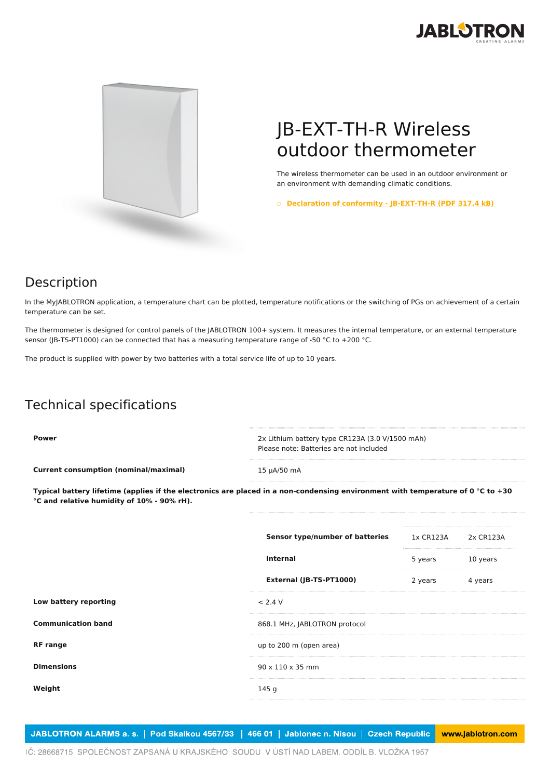



## JB-EXT-TH-R Wireless outdoor thermometer

The wireless thermometer can be used in an outdoor environment or an environment with demanding climatic conditions.

○ **Declaration of conformity - [JB-EXT-TH-R](https://www.jablotron.com/en/template/product/751/?file=0&jt_id=23041&hash=e5KerE&do=downloadCertificate) (PDF 317.4 kB)**

## Description

In the MyJABLOTRON application, a temperature chart can be plotted, temperature notifications or the switching of PGs on achievement of a certain temperature can be set.

The thermometer is designed for control panels of the JABLOTRON 100+ system. It measures the internal temperature, or an external temperature sensor (JB-TS-PT1000) can be connected that has a measuring temperature range of -50 °C to +200 °C.

The product is supplied with power by two batteries with a total service life of up to 10 years.

## Technical specifications

**Power** 2x Lithium battery type CR123A (3.0 V/1500 mAh) Please note: Batteries are not included **Current consumption (nominal/maximal)** 15 µA/50 mA

Typical battery lifetime (applies if the electronics are placed in a non-condensing environment with temperature of 0 °C to +30 **°C and relative humidity of 10% - 90% rH).**

|                           | Sensor type/number of batteries | 1x CR123A | 2x CR123A |  |
|---------------------------|---------------------------------|-----------|-----------|--|
|                           | <b>Internal</b>                 | 5 years   | 10 years  |  |
|                           | External (JB-TS-PT1000)         | 2 years   | 4 years   |  |
| Low battery reporting     | < 2.4 V                         |           |           |  |
| <b>Communication band</b> | 868.1 MHz, JABLOTRON protocol   |           |           |  |
| <b>RF</b> range           | up to 200 m (open area)         |           |           |  |
| <b>Dimensions</b>         | $90 \times 110 \times 35$ mm    |           |           |  |
| Weight                    | 145 g                           |           |           |  |
|                           |                                 |           |           |  |

JABLOTRON ALARMS a. s. | Pod Skalkou 4567/33 | 466 01 | Jablonec n. Nisou | Czech Republic www.jablotron.com

IČ: 28668715. SPOLEČNOST ZAPSANÁ U KRAJSKÉHO SOUDU V ÚSTÍ NAD LABEM. ODDÍL B. VLOŽKA 1957